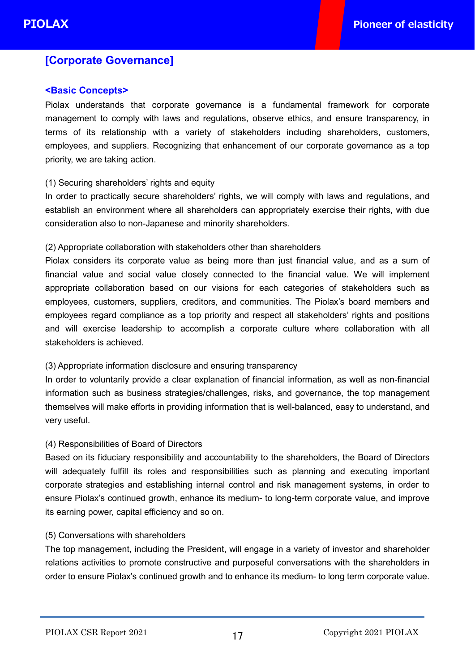# **[Corporate Governance]**

## **<Basic Concepts>**

Piolax understands that corporate governance is a fundamental framework for corporate management to comply with laws and regulations, observe ethics, and ensure transparency, in terms of its relationship with a variety of stakeholders including shareholders, customers, employees, and suppliers. Recognizing that enhancement of our corporate governance as a top priority, we are taking action.

## (1) Securing shareholders' rights and equity

In order to practically secure shareholders' rights, we will comply with laws and regulations, and establish an environment where all shareholders can appropriately exercise their rights, with due consideration also to non-Japanese and minority shareholders.

## (2) Appropriate collaboration with stakeholders other than shareholders

Piolax considers its corporate value as being more than just financial value, and as a sum of financial value and social value closely connected to the financial value. We will implement appropriate collaboration based on our visions for each categories of stakeholders such as employees, customers, suppliers, creditors, and communities. The Piolax's board members and employees regard compliance as a top priority and respect all stakeholders' rights and positions and will exercise leadership to accomplish a corporate culture where collaboration with all stakeholders is achieved.

## (3) Appropriate information disclosure and ensuring transparency

In order to voluntarily provide a clear explanation of financial information, as well as non-financial information such as business strategies/challenges, risks, and governance, the top management themselves will make efforts in providing information that is well-balanced, easy to understand, and very useful.

## (4) Responsibilities of Board of Directors

Based on its fiduciary responsibility and accountability to the shareholders, the Board of Directors will adequately fulfill its roles and responsibilities such as planning and executing important corporate strategies and establishing internal control and risk management systems, in order to ensure Piolax's continued growth, enhance its medium- to long-term corporate value, and improve its earning power, capital efficiency and so on.

## (5) Conversations with shareholders

The top management, including the President, will engage in a variety of investor and shareholder relations activities to promote constructive and purposeful conversations with the shareholders in order to ensure Piolax's continued growth and to enhance its medium- to long term corporate value.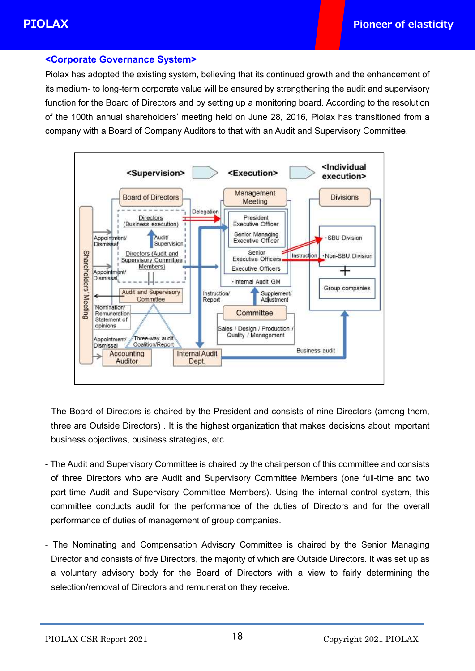## **<Corporate Governance System>**

Piolax has adopted the existing system, believing that its continued growth and the enhancement of its medium- to long-term corporate value will be ensured by strengthening the audit and supervisory function for the Board of Directors and by setting up a monitoring board. According to the resolution of the 100th annual shareholders' meeting held on June 28, 2016, Piolax has transitioned from a company with a Board of Company Auditors to that with an Audit and Supervisory Committee.



- The Board of Directors is chaired by the President and consists of nine Directors (among them, three are Outside Directors) . It is the highest organization that makes decisions about important business objectives, business strategies, etc.
- The Audit and Supervisory Committee is chaired by the chairperson of this committee and consists of three Directors who are Audit and Supervisory Committee Members (one full-time and two part-time Audit and Supervisory Committee Members). Using the internal control system, this committee conducts audit for the performance of the duties of Directors and for the overall performance of duties of management of group companies.
- The Nominating and Compensation Advisory Committee is chaired by the Senior Managing Director and consists of five Directors, the majority of which are Outside Directors. It was set up as a voluntary advisory body for the Board of Directors with a view to fairly determining the selection/removal of Directors and remuneration they receive.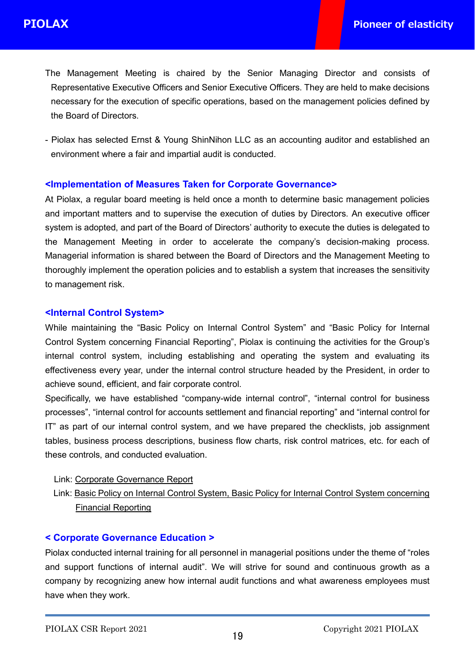- The Management Meeting is chaired by the Senior Managing Director and consists of Representative Executive Officers and Senior Executive Officers. They are held to make decisions necessary for the execution of specific operations, based on the management policies defined by the Board of Directors.
- Piolax has selected Ernst & Young ShinNihon LLC as an accounting auditor and established an environment where a fair and impartial audit is conducted.

## **<Implementation of Measures Taken for Corporate Governance>**

At Piolax, a regular board meeting is held once a month to determine basic management policies and important matters and to supervise the execution of duties by Directors. An executive officer system is adopted, and part of the Board of Directors' authority to execute the duties is delegated to the Management Meeting in order to accelerate the company's decision-making process. Managerial information is shared between the Board of Directors and the Management Meeting to thoroughly implement the operation policies and to establish a system that increases the sensitivity to management risk.

## **<Internal Control System>**

While maintaining the "Basic Policy on Internal Control System" and "Basic Policy for Internal Control System concerning Financial Reporting", Piolax is continuing the activities for the Group's internal control system, including establishing and operating the system and evaluating its effectiveness every year, under the internal control structure headed by the President, in order to achieve sound, efficient, and fair corporate control.

Specifically, we have established "company-wide internal control", "internal control for business processes", "internal control for accounts settlement and financial reporting" and "internal control for IT" as part of our internal control system, and we have prepared the checklists, job assignment tables, business process descriptions, business flow charts, risk control matrices, etc. for each of these controls, and conducted evaluation.

## Link: Corporate [Governance](file:///C:/Users/02268/Downloads/20211222_governance%20%288%29.pdf) Report

Link: Basic Policy on Internal Control System, Basic Policy for Internal Control System [concerning](https://www.piolax.co.jp/en/csr/ic/) Financial Reporting

## **< Corporate Governance Education >**

Piolax conducted internal training for all personnel in managerial positions under the theme of "roles and support functions of internal audit". We will strive for sound and continuous growth as a company by recognizing anew how internal audit functions and what awareness employees must have when they work.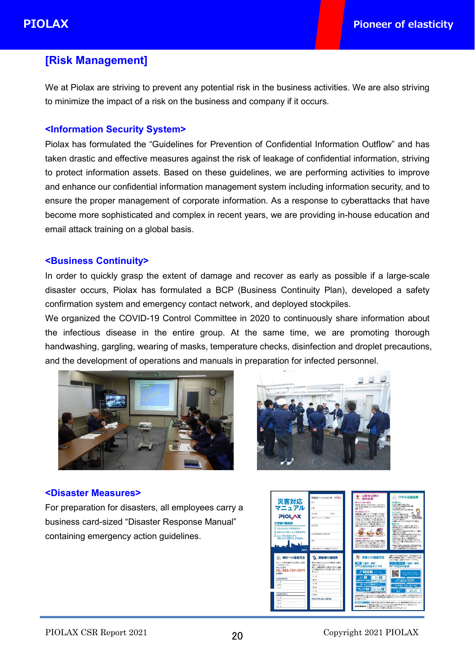## **[Risk Management]**

We at Piolax are striving to prevent any potential risk in the business activities. We are also striving to minimize the impact of a risk on the business and company if it occurs.

## **<Information Security System>**

Piolax has formulated the "Guidelines for Prevention of Confidential Information Outflow" and has taken drastic and effective measures against the risk of leakage of confidential information, striving to protect information assets. Based on these guidelines, we are performing activities to improve and enhance our confidential information management system including information security, and to ensure the proper management of corporate information. As a response to cyberattacks that have become more sophisticated and complex in recent years, we are providing in-house education and email attack training on a global basis.

## **<Business Continuity>**

In order to quickly grasp the extent of damage and recover as early as possible if a large-scale disaster occurs, Piolax has formulated a BCP (Business Continuity Plan), developed a safety confirmation system and emergency contact network, and deployed stockpiles.

We organized the COVID-19 Control Committee in 2020 to continuously share information about the infectious disease in the entire group. At the same time, we are promoting thorough handwashing, gargling, wearing of masks, temperature checks, disinfection and droplet precautions, and the development of operations and manuals in preparation for infected personnel.





#### **<Disaster Measures>**

For preparation for disasters, all employees carry a business card-sized "Disaster Response Manual" containing emergency action guidelines.